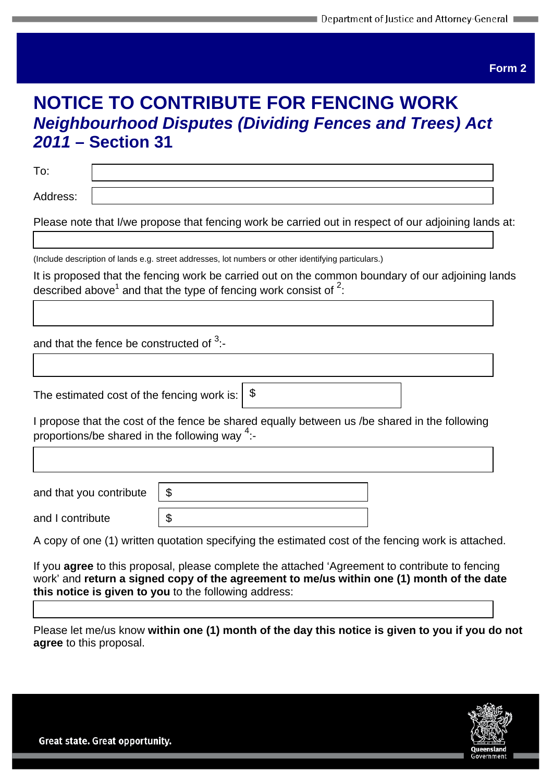**Form 2**

## **NOTICE TO CONTRIBUTE FOR FENCING WORK**  *Neighbourhood Disputes (Dividing Fences and Trees) Act 2011* **– Section 31**

To:

 $\overline{\mathsf{I}}$ 

Address:

Please note that I/we propose that fencing work be carried out in respect of our adjoining lands at:

(Include description of lands e.g. street addresses, lot numbers or other identifying particulars.)

It is proposed that the fencing work be carried out on the common boundary of our adjoining lands described above<sup>1</sup> and that the type of fencing work consist of  $2$ :

and that the fence be constructed of  $3$ :-

The estimated cost of the fencing work is:

I propose that the cost of the fence be shared equally between us /be shared in the following proportions/be shared in the following way  $4$ :-

\$

| and that you contribute |  |
|-------------------------|--|
| and I contribute        |  |

A copy of one (1) written quotation specifying the estimated cost of the fencing work is attached.

If you **agree** to this proposal, please complete the attached 'Agreement to contribute to fencing work' and **return a signed copy of the agreement to me/us within one (1) month of the date this notice is given to you** to the following address:

Please let me/us know **within one (1) month of the day this notice is given to you if you do not agree** to this proposal.

Great state. Great opportunity.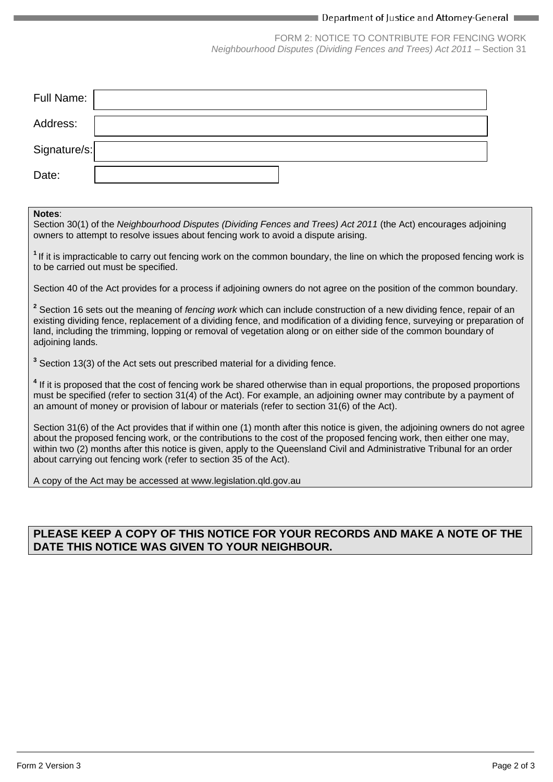#### $\blacksquare$  Department of Justice and Attorney-General  $\blacksquare$

FORM 2: NOTICE TO CONTRIBUTE FOR FENCING WORK *Neighbourhood Disputes (Dividing Fences and Trees) Act 2011* – Section 31

| Full Name:   |  |
|--------------|--|
| Address:     |  |
| Signature/s: |  |
| Date:        |  |

#### **Notes**:

Section 30(1) of the *Neighbourhood Disputes (Dividing Fences and Trees) Act 2011* (the Act) encourages adjoining owners to attempt to resolve issues about fencing work to avoid a dispute arising.

**<sup>1</sup>**If it is impracticable to carry out fencing work on the common boundary, the line on which the proposed fencing work is to be carried out must be specified.

Section 40 of the Act provides for a process if adjoining owners do not agree on the position of the common boundary.

**<sup>2</sup>** Section 16 sets out the meaning of *fencing work* which can include construction of a new dividing fence, repair of an existing dividing fence, replacement of a dividing fence, and modification of a dividing fence, surveying or preparation of land, including the trimming, lopping or removal of vegetation along or on either side of the common boundary of adioining lands.

**<sup>3</sup>** Section 13(3) of the Act sets out prescribed material for a dividing fence.

<sup>4</sup> If it is proposed that the cost of fencing work be shared otherwise than in equal proportions, the proposed proportions must be specified (refer to section 31(4) of the Act). For example, an adjoining owner may contribute by a payment of an amount of money or provision of labour or materials (refer to section 31(6) of the Act).

Section 31(6) of the Act provides that if within one (1) month after this notice is given, the adjoining owners do not agree about the proposed fencing work, or the contributions to the cost of the proposed fencing work, then either one may, within two (2) months after this notice is given, apply to the Queensland Civil and Administrative Tribunal for an order about carrying out fencing work (refer to section 35 of the Act).

A copy of the Act may be accessed at www.legislation.qld.gov.au

## **PLEASE KEEP A COPY OF THIS NOTICE FOR YOUR RECORDS AND MAKE A NOTE OF THE DATE THIS NOTICE WAS GIVEN TO YOUR NEIGHBOUR.**